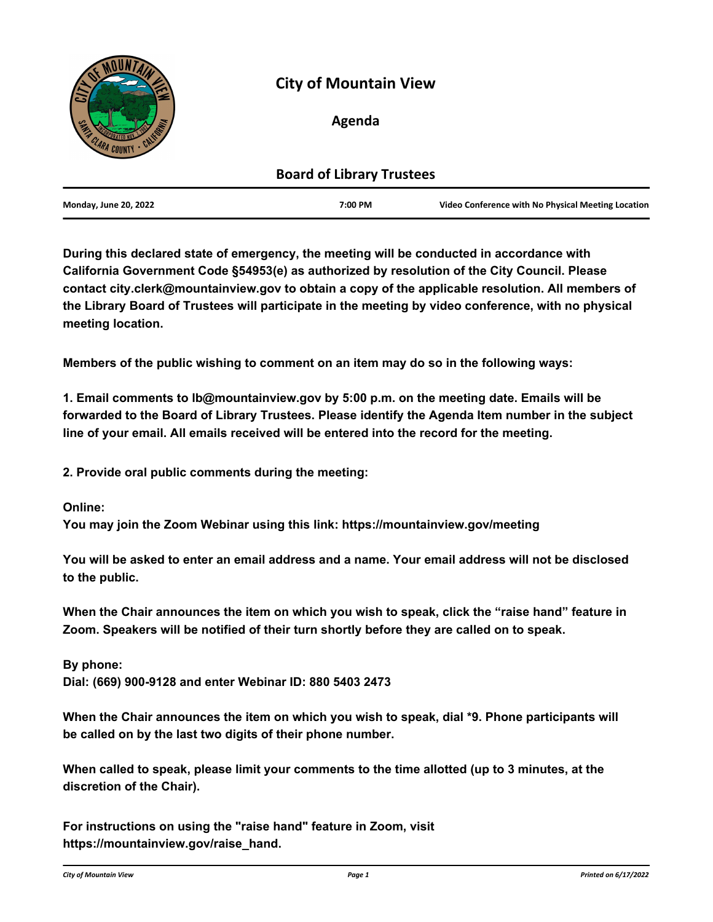

# **City of Mountain View**

# **Agenda**

| <b>Board of Library Trustees</b> |         |                                                    |
|----------------------------------|---------|----------------------------------------------------|
| <b>Monday, June 20, 2022</b>     | 7:00 PM | Video Conference with No Physical Meeting Location |

**During this declared state of emergency, the meeting will be conducted in accordance with California Government Code §54953(e) as authorized by resolution of the City Council. Please contact city.clerk@mountainview.gov to obtain a copy of the applicable resolution. All members of the Library Board of Trustees will participate in the meeting by video conference, with no physical meeting location.**

**Members of the public wishing to comment on an item may do so in the following ways:**

**1. Email comments to lb@mountainview.gov by 5:00 p.m. on the meeting date. Emails will be forwarded to the Board of Library Trustees. Please identify the Agenda Item number in the subject line of your email. All emails received will be entered into the record for the meeting.**

**2. Provide oral public comments during the meeting:**

**Online:**

**You may join the Zoom Webinar using this link: https://mountainview.gov/meeting**

**You will be asked to enter an email address and a name. Your email address will not be disclosed to the public.**

**When the Chair announces the item on which you wish to speak, click the "raise hand" feature in Zoom. Speakers will be notified of their turn shortly before they are called on to speak.**

**By phone: Dial: (669) 900-9128 and enter Webinar ID: 880 5403 2473**

**When the Chair announces the item on which you wish to speak, dial \*9. Phone participants will be called on by the last two digits of their phone number.**

**When called to speak, please limit your comments to the time allotted (up to 3 minutes, at the discretion of the Chair).**

**For instructions on using the "raise hand" feature in Zoom, visit https://mountainview.gov/raise\_hand.**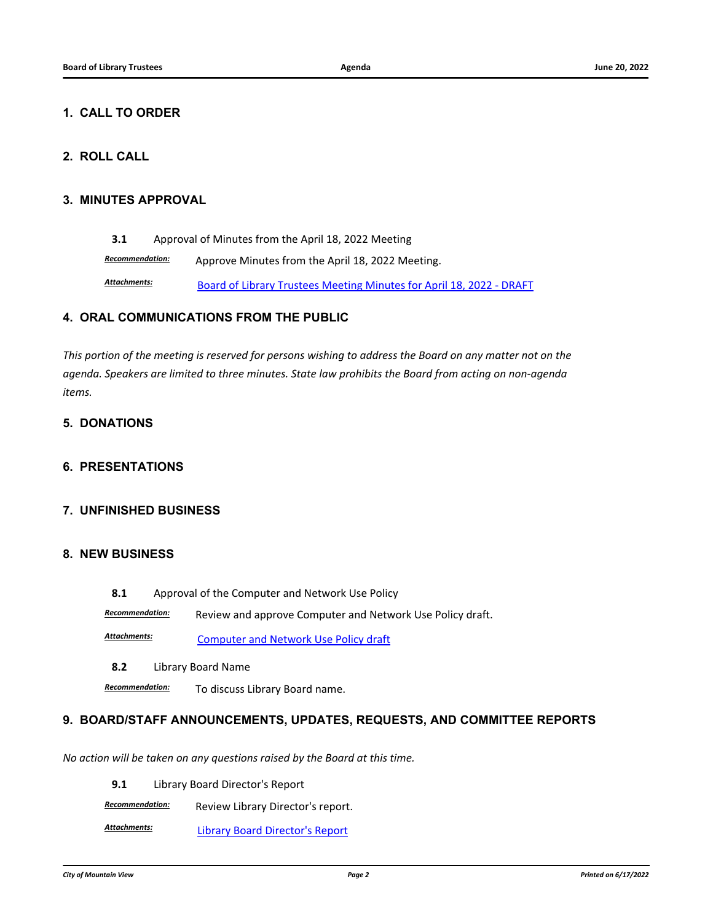#### **1. CALL TO ORDER**

## **2. ROLL CALL**

#### **3. MINUTES APPROVAL**

**3.1** [Approval of Minutes from the April 18, 2022 Meeting](http://mountainview.legistar.com/gateway.aspx?m=l&id=/matter.aspx?key=6436)

*Recommendation:* Approve Minutes from the April 18, 2022 Meeting. Attachments: **[Board of Library Trustees Meeting Minutes for April 18, 2022 - DRAFT](http://mountainview.legistar.com/gateway.aspx?M=F&ID=e70dd332-8aca-475d-9fb1-917d39a1b593.pdf)** 

#### **4. ORAL COMMUNICATIONS FROM THE PUBLIC**

*This portion of the meeting is reserved for persons wishing to address the Board on any matter not on the agenda. Speakers are limited to three minutes. State law prohibits the Board from acting on non-agenda items.*

## **5. DONATIONS**

#### **6. PRESENTATIONS**

#### **7. UNFINISHED BUSINESS**

#### **8. NEW BUSINESS**

**8.1** [Approval of the Computer and Network Use Policy](http://mountainview.legistar.com/gateway.aspx?m=l&id=/matter.aspx?key=6560)

*Recommendation:* Review and approve Computer and Network Use Policy draft.

[Computer and Network Use Policy draft](http://mountainview.legistar.com/gateway.aspx?M=F&ID=d9448f76-595d-4652-b7bc-d217557ff798.pdf) *Attachments:*

**8.2** [Library Board Name](http://mountainview.legistar.com/gateway.aspx?m=l&id=/matter.aspx?key=6557)

*Recommendation:* To discuss Library Board name.

#### **9. BOARD/STAFF ANNOUNCEMENTS, UPDATES, REQUESTS, AND COMMITTEE REPORTS**

*No action will be taken on any questions raised by the Board at this time.*

**9.1** [Library Board Director's Report](http://mountainview.legistar.com/gateway.aspx?m=l&id=/matter.aspx?key=6558)

*Recommendation:* Review Library Director's report.

[Library Board Director's Report](http://mountainview.legistar.com/gateway.aspx?M=F&ID=811e714f-d5b3-4e39-8dae-10d46af5ef44.pdf) *Attachments:*